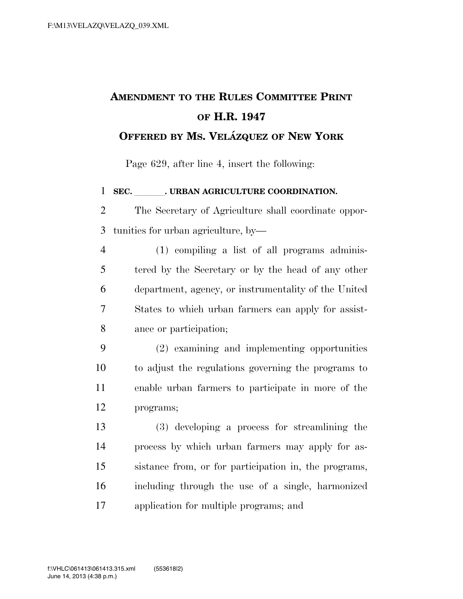## **AMENDMENT TO THE RULES COMMITTEE PRINT OF H.R. 1947**

## **OFFERED BY MS. VELA´ ZQUEZ OF NEW YORK**

Page 629, after line 4, insert the following:

1 SEC. JURBAN AGRICULTURE COORDINATION.

 The Secretary of Agriculture shall coordinate oppor-tunities for urban agriculture, by—

 (1) compiling a list of all programs adminis- tered by the Secretary or by the head of any other department, agency, or instrumentality of the United States to which urban farmers can apply for assist-ance or participation;

 (2) examining and implementing opportunities to adjust the regulations governing the programs to enable urban farmers to participate in more of the programs;

 (3) developing a process for streamlining the process by which urban farmers may apply for as- sistance from, or for participation in, the programs, including through the use of a single, harmonized application for multiple programs; and